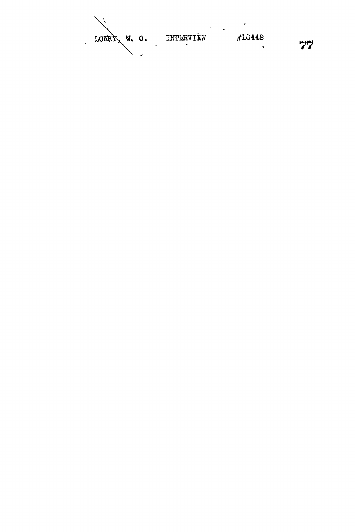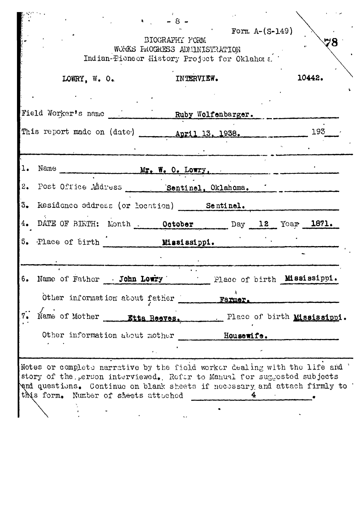| WORKS FROCRESS ADMINISTRATION<br>Indian-Pioneer History Project for Oklahoma. |                                                         |            |                               |
|-------------------------------------------------------------------------------|---------------------------------------------------------|------------|-------------------------------|
|                                                                               | LOWRY, W. O.                                            | INTERVIEW. | 10442.                        |
|                                                                               |                                                         |            |                               |
|                                                                               | Field Worker's name Ruby Wolfenbarger.                  |            |                               |
|                                                                               | This report made on (date) _______ April 13, 1938.      |            | 193                           |
|                                                                               |                                                         |            |                               |
| ı.                                                                            |                                                         |            |                               |
| 2.                                                                            |                                                         |            |                               |
|                                                                               | 3. Residence address (or location) Sentinel.            |            |                               |
|                                                                               | DATE OF BIETH: Month . October Day 12 Year 1871.        |            |                               |
| 5. Place of birth Mississippi.                                                |                                                         |            |                               |
|                                                                               |                                                         |            |                               |
| 6.                                                                            | Name of Father John Lowry . Place of birth Mississippi. |            |                               |
|                                                                               | Other information about father                          | Farmer.    |                               |
|                                                                               | Name of Mother _______ Etta Reeves.                     |            | . Place of birth Mississippi. |
| 7.                                                                            |                                                         |            |                               |
|                                                                               | Other information about mother                          | Housewife. |                               |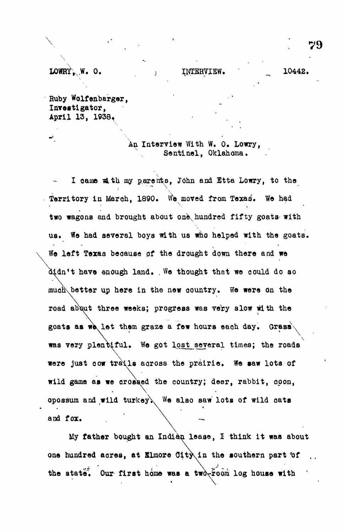**LOWRY, W. O. 10442. 10442.** 

**Huby Wolfenbarger, Investigator, April 13, 1938«**

> **An Interview With W. 0. Lowry, Sentinel, Oklahoma.**

**I oaine v4th my parents, John and Etta Lowry, to the** Territory in March, 1890. We moved from Texas. We had two wagons and brought about one hundred fifty goats with **us. We had several boys with us who helped with the goats. We left Texas because of the drought down there and we** didn't have enough land. We thought that we could do so **muan\better up here in the new country. We were on the road ab\ut three weeks; progress was very slow with the goats as w\let them graze a few hours each day. Grasa\ \** was very plentiful. We got lost several times; the roads were just cow trails across the prairie. We saw lots of **wild game as we orossed the country; deer, rabbit, opon, opossum and wild turkey\ We also saw lots of wild cats and fox.**

**My father bought an Indian lease, I think it was about one hundred aores, at Slmore Oity^in the southern part 'of** the state. Our first home was a two-room log house with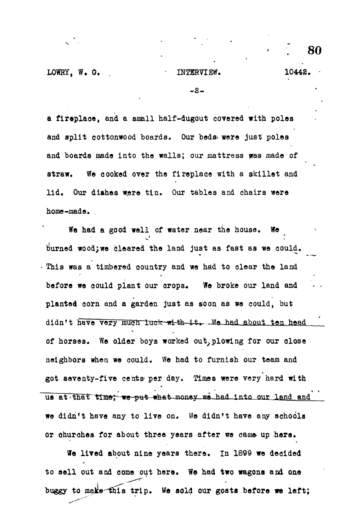**- 2 -**

**a fireplace, and a small half-dugout covered with poles and split cottonwood boards. Our beds^ were just poles and boards made into the walls; our mattress was made of straw. We cooked over the fireplace with a skillet and** lid. Our dishes were tin. Our tables and chairs were **home-made. \_**

**We had a good well of water near the house. We burned wood;we cleared the land just as fast as we could. This was a timbered country and we had to clear the land** before we could plant our orops. We broke our land and **planted corn and a garden just as soon as we could, but** didn't have very much luck with it. We had about ten head **of horses. We older boys worked out,plowing for our close neighbors when we could. We had to furnish our team and got seventy-five cents- per day. Times were very hard with** us at that time; we put what money we had into our land and **we didn't have any to live on. We didn't have any schoola** or churches for about three years after we came up here.

**We lived about nine years there. In 1899 we decided** to sell out and come out here. We had two wagons and one **buggy to make"fhis trip. We sold our goats before we left;**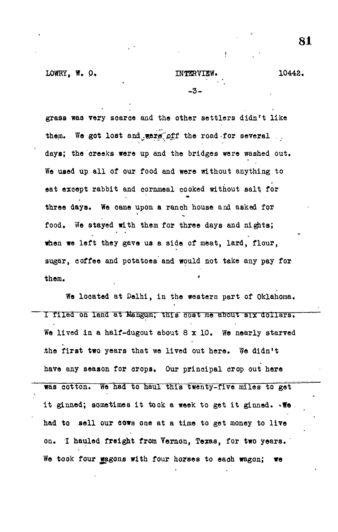**LOWRY, W. O. 32. INTERVIEW. 10442.** 

**- 3-**

**grass was very soaroe and the other settlers didn't like** them. We got lost and wers off the road-for several .. **days; the creeks were up and the bridges were washed out. We used up all of our food and were without anything to eat exoept rabbit and cornmeal cooked without salt for three days. We came upon a ranch house and asked for food. We stayed with them for three days and nights; when we left they gave us a side, of meat, lard, flour, sugar, coffee and potatoes and would not take any pay for them.**

**We located at Delhi, in the western part of Oklahoma,** I filed on land at Mangum; this cost me about six dollars. We lived in a half-dugout about 8 x 10. We nearly starved **.the first two years that we lived out here. We didn't have any season for crops. Our principal crop out here was cotton. We had to haul this twenty-five miles to get** it ginned; sometimes it took a week to get it ginned.  $\sqrt{N}$ . **had to sell our oows one at a time to get money to live on. I hauled freight from Vernon, Texas, for two years. We took four wagons with four horses to each wagon; we**